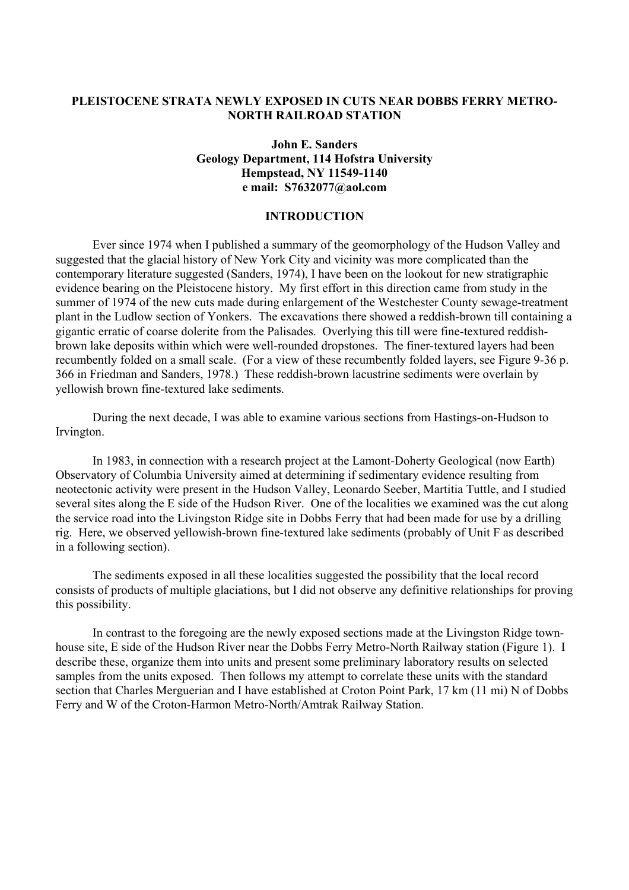### **PLEISTOCENE STRATA NEWLY EXPOSED IN CUTS NEAR DOBBS FERRY METRO-NORTH RAILROAD STATION**

# **John E. Sanders Geology Department, 114 Hofstra University Hempstead, NY 11549-1140 e mail: S7632077@aol.com**

### **INTRODUCTION**

 Ever since 1974 when I published a summary of the geomorphology of the Hudson Valley and suggested that the glacial history of New York City and vicinity was more complicated than the contemporary literature suggested (Sanders, 1974), I have been on the lookout for new stratigraphic evidence bearing on the Pleistocene history. My first effort in this direction came from study in the summer of 1974 of the new cuts made during enlargement of the Westchester County sewage-treatment plant in the Ludlow section of Yonkers. The excavations there showed a reddish-brown till containing a gigantic erratic of coarse dolerite from the Palisades. Overlying this till were fine-textured reddishbrown lake deposits within which were well-rounded dropstones. The finer-textured layers had been recumbently folded on a small scale. (For a view of these recumbently folded layers, see Figure 9-36 p. 366 in Friedman and Sanders, 1978.) These reddish-brown lacustrine sediments were overlain by yellowish brown fine-textured lake sediments.

 During the next decade, I was able to examine various sections from Hastings-on-Hudson to Irvington.

 In 1983, in connection with a research project at the Lamont-Doherty Geological (now Earth) Observatory of Columbia University aimed at determining if sedimentary evidence resulting from neotectonic activity were present in the Hudson Valley, Leonardo Seeber, Martitia Tuttle, and I studied several sites along the E side of the Hudson River. One of the localities we examined was the cut along the service road into the Livingston Ridge site in Dobbs Ferry that had been made for use by a drilling rig. Here, we observed yellowish-brown fine-textured lake sediments (probably of Unit F as described in a following section).

 The sediments exposed in all these localities suggested the possibility that the local record consists of products of multiple glaciations, but I did not observe any definitive relationships for proving this possibility.

 In contrast to the foregoing are the newly exposed sections made at the Livingston Ridge townhouse site, E side of the Hudson River near the Dobbs Ferry Metro-North Railway station (Figure 1). I describe these, organize them into units and present some preliminary laboratory results on selected samples from the units exposed. Then follows my attempt to correlate these units with the standard section that Charles Merguerian and I have established at Croton Point Park, 17 km (11 mi) N of Dobbs Ferry and W of the Croton-Harmon Metro-North/Amtrak Railway Station.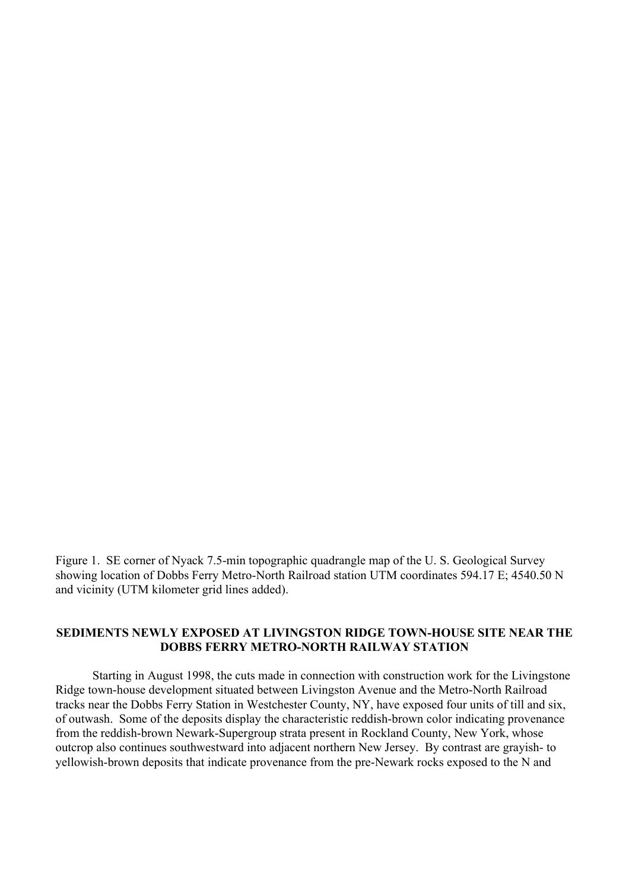Figure 1. SE corner of Nyack 7.5-min topographic quadrangle map of the U. S. Geological Survey showing location of Dobbs Ferry Metro-North Railroad station UTM coordinates 594.17 E; 4540.50 N and vicinity (UTM kilometer grid lines added).

### **SEDIMENTS NEWLY EXPOSED AT LIVINGSTON RIDGE TOWN-HOUSE SITE NEAR THE DOBBS FERRY METRO-NORTH RAILWAY STATION**

 Starting in August 1998, the cuts made in connection with construction work for the Livingstone Ridge town-house development situated between Livingston Avenue and the Metro-North Railroad tracks near the Dobbs Ferry Station in Westchester County, NY, have exposed four units of till and six, of outwash. Some of the deposits display the characteristic reddish-brown color indicating provenance from the reddish-brown Newark-Supergroup strata present in Rockland County, New York, whose outcrop also continues southwestward into adjacent northern New Jersey. By contrast are grayish- to yellowish-brown deposits that indicate provenance from the pre-Newark rocks exposed to the N and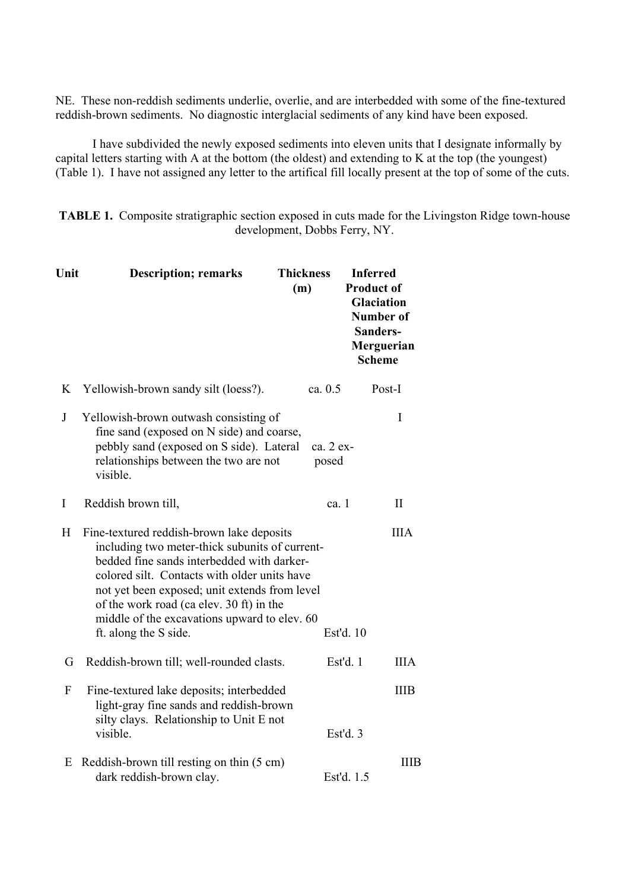NE. These non-reddish sediments underlie, overlie, and are interbedded with some of the fine-textured reddish-brown sediments. No diagnostic interglacial sediments of any kind have been exposed.

 I have subdivided the newly exposed sediments into eleven units that I designate informally by capital letters starting with A at the bottom (the oldest) and extending to K at the top (the youngest) (Table 1). I have not assigned any letter to the artifical fill locally present at the top of some of the cuts.

**TABLE 1.** Composite stratigraphic section exposed in cuts made for the Livingston Ridge town-house development, Dobbs Ferry, NY.

| Unit    | <b>Description; remarks</b>                                                                                                                                                                                                                                                                                                                                     | <b>Thickness</b><br>(m) | <b>Inferred</b><br><b>Product of</b><br><b>Glaciation</b><br>Number of<br>Sanders-<br>Merguerian<br><b>Scheme</b> |
|---------|-----------------------------------------------------------------------------------------------------------------------------------------------------------------------------------------------------------------------------------------------------------------------------------------------------------------------------------------------------------------|-------------------------|-------------------------------------------------------------------------------------------------------------------|
| K       | Yellowish-brown sandy silt (loess?).                                                                                                                                                                                                                                                                                                                            | ca. 0.5                 | Post-I                                                                                                            |
| $\bf J$ | Yellowish-brown outwash consisting of<br>fine sand (exposed on N side) and coarse,<br>pebbly sand (exposed on S side). Lateral<br>relationships between the two are not<br>visible.                                                                                                                                                                             | ca. 2 ex-<br>posed      | I                                                                                                                 |
| I       | Reddish brown till,                                                                                                                                                                                                                                                                                                                                             | ca. $1$                 | $\mathbf{I}$                                                                                                      |
| H       | Fine-textured reddish-brown lake deposits<br>including two meter-thick subunits of current-<br>bedded fine sands interbedded with darker-<br>colored silt. Contacts with older units have<br>not yet been exposed; unit extends from level<br>of the work road (ca elev. 30 ft) in the<br>middle of the excavations upward to elev. 60<br>ft. along the S side. |                         | <b>IIIA</b><br>Est'd. 10                                                                                          |
| G       | Reddish-brown till; well-rounded clasts.                                                                                                                                                                                                                                                                                                                        |                         | Est'd. 1<br><b>IIIA</b>                                                                                           |
| F       | Fine-textured lake deposits; interbedded<br>light-gray fine sands and reddish-brown<br>silty clays. Relationship to Unit E not<br>visible.                                                                                                                                                                                                                      |                         | <b>IIIB</b><br>Est'd. 3                                                                                           |
| Ε       | Reddish-brown till resting on thin (5 cm)<br>dark reddish-brown clay.                                                                                                                                                                                                                                                                                           |                         | <b>IIIB</b><br>Est'd. 1.5                                                                                         |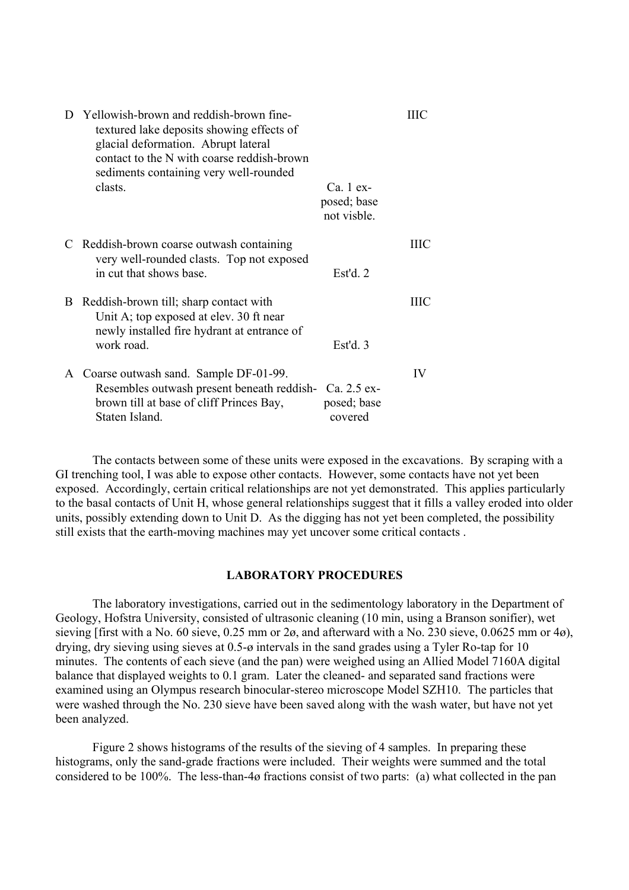| D | Yellowish-brown and reddish-brown fine-<br>textured lake deposits showing effects of<br>glacial deformation. Abrupt lateral<br>contact to the N with coarse reddish-brown<br>sediments containing very well-rounded |                                         | ШC |
|---|---------------------------------------------------------------------------------------------------------------------------------------------------------------------------------------------------------------------|-----------------------------------------|----|
|   | clasts.                                                                                                                                                                                                             | Ca. 1 ex-<br>posed; base<br>not visble. |    |
|   | Reddish-brown coarse outwash containing<br>very well-rounded clasts. Top not exposed<br>in cut that shows base.                                                                                                     | Est'd. $2$                              | ШC |
| B | Reddish-brown till; sharp contact with<br>Unit A; top exposed at elev. 30 ft near<br>newly installed fire hydrant at entrance of<br>work road.                                                                      | Est'd.3                                 | ШC |
| A | Coarse outwash sand. Sample DF-01-99.<br>Resembles outwash present beneath reddish- Ca. 2.5 ex-<br>brown till at base of cliff Princes Bay,<br>Staten Island.                                                       | posed; base<br>covered                  | IV |

 The contacts between some of these units were exposed in the excavations. By scraping with a GI trenching tool, I was able to expose other contacts. However, some contacts have not yet been exposed. Accordingly, certain critical relationships are not yet demonstrated. This applies particularly to the basal contacts of Unit H, whose general relationships suggest that it fills a valley eroded into older units, possibly extending down to Unit D. As the digging has not yet been completed, the possibility still exists that the earth-moving machines may yet uncover some critical contacts .

# **LABORATORY PROCEDURES**

 The laboratory investigations, carried out in the sedimentology laboratory in the Department of Geology, Hofstra University, consisted of ultrasonic cleaning (10 min, using a Branson sonifier), wet sieving [first with a No. 60 sieve, 0.25 mm or 2ø, and afterward with a No. 230 sieve, 0.0625 mm or 4ø), drying, dry sieving using sieves at 0.5-ø intervals in the sand grades using a Tyler Ro-tap for 10 minutes. The contents of each sieve (and the pan) were weighed using an Allied Model 7160A digital balance that displayed weights to 0.1 gram. Later the cleaned- and separated sand fractions were examined using an Olympus research binocular-stereo microscope Model SZH10. The particles that were washed through the No. 230 sieve have been saved along with the wash water, but have not yet been analyzed.

 Figure 2 shows histograms of the results of the sieving of 4 samples. In preparing these histograms, only the sand-grade fractions were included. Their weights were summed and the total considered to be 100%. The less-than-4ø fractions consist of two parts: (a) what collected in the pan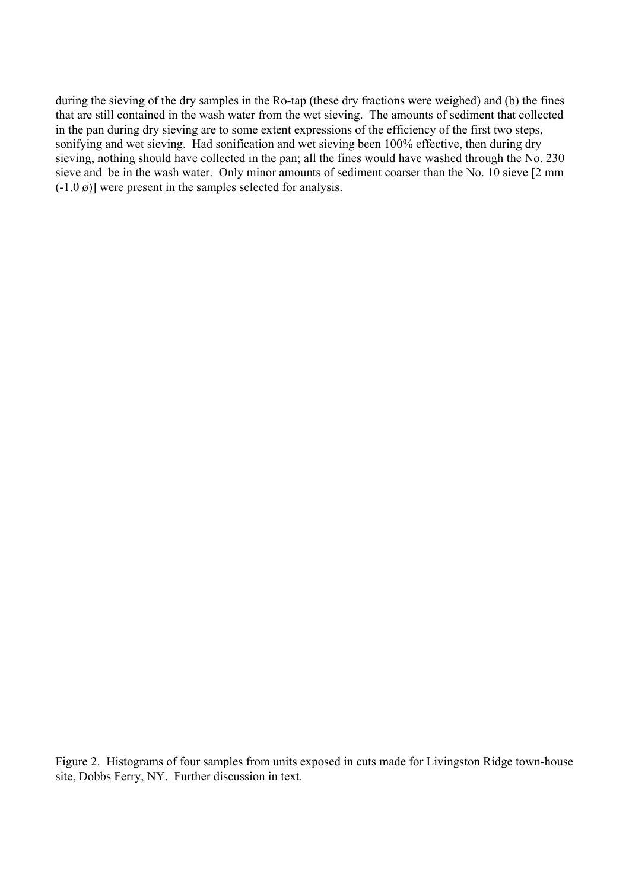during the sieving of the dry samples in the Ro-tap (these dry fractions were weighed) and (b) the fines that are still contained in the wash water from the wet sieving. The amounts of sediment that collected in the pan during dry sieving are to some extent expressions of the efficiency of the first two steps, sonifying and wet sieving. Had sonification and wet sieving been 100% effective, then during dry sieving, nothing should have collected in the pan; all the fines would have washed through the No. 230 sieve and be in the wash water. Only minor amounts of sediment coarser than the No. 10 sieve [2 mm  $(-1.0 \, \omega)$ ] were present in the samples selected for analysis.

Figure 2. Histograms of four samples from units exposed in cuts made for Livingston Ridge town-house site, Dobbs Ferry, NY. Further discussion in text.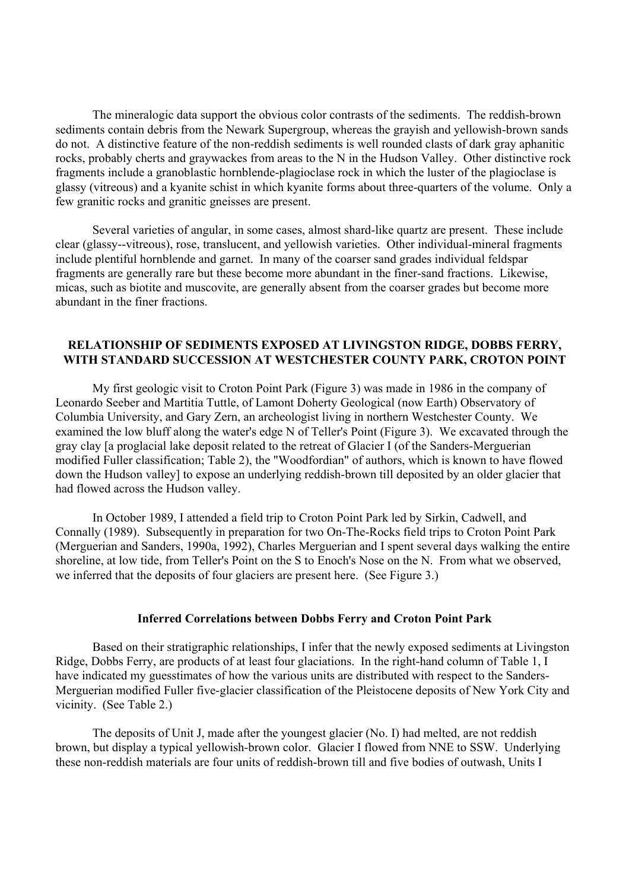The mineralogic data support the obvious color contrasts of the sediments. The reddish-brown sediments contain debris from the Newark Supergroup, whereas the grayish and yellowish-brown sands do not. A distinctive feature of the non-reddish sediments is well rounded clasts of dark gray aphanitic rocks, probably cherts and graywackes from areas to the N in the Hudson Valley. Other distinctive rock fragments include a granoblastic hornblende-plagioclase rock in which the luster of the plagioclase is glassy (vitreous) and a kyanite schist in which kyanite forms about three-quarters of the volume. Only a few granitic rocks and granitic gneisses are present.

 Several varieties of angular, in some cases, almost shard-like quartz are present. These include clear (glassy--vitreous), rose, translucent, and yellowish varieties. Other individual-mineral fragments include plentiful hornblende and garnet. In many of the coarser sand grades individual feldspar fragments are generally rare but these become more abundant in the finer-sand fractions. Likewise, micas, such as biotite and muscovite, are generally absent from the coarser grades but become more abundant in the finer fractions.

# **RELATIONSHIP OF SEDIMENTS EXPOSED AT LIVINGSTON RIDGE, DOBBS FERRY, WITH STANDARD SUCCESSION AT WESTCHESTER COUNTY PARK, CROTON POINT**

 My first geologic visit to Croton Point Park (Figure 3) was made in 1986 in the company of Leonardo Seeber and Martitia Tuttle, of Lamont Doherty Geological (now Earth) Observatory of Columbia University, and Gary Zern, an archeologist living in northern Westchester County. We examined the low bluff along the water's edge N of Teller's Point (Figure 3). We excavated through the gray clay [a proglacial lake deposit related to the retreat of Glacier I (of the Sanders-Merguerian modified Fuller classification; Table 2), the "Woodfordian" of authors, which is known to have flowed down the Hudson valley] to expose an underlying reddish-brown till deposited by an older glacier that had flowed across the Hudson valley.

 In October 1989, I attended a field trip to Croton Point Park led by Sirkin, Cadwell, and Connally (1989). Subsequently in preparation for two On-The-Rocks field trips to Croton Point Park (Merguerian and Sanders, 1990a, 1992), Charles Merguerian and I spent several days walking the entire shoreline, at low tide, from Teller's Point on the S to Enoch's Nose on the N. From what we observed, we inferred that the deposits of four glaciers are present here. (See Figure 3.)

#### **Inferred Correlations between Dobbs Ferry and Croton Point Park**

 Based on their stratigraphic relationships, I infer that the newly exposed sediments at Livingston Ridge, Dobbs Ferry, are products of at least four glaciations. In the right-hand column of Table 1, I have indicated my guesstimates of how the various units are distributed with respect to the Sanders-Merguerian modified Fuller five-glacier classification of the Pleistocene deposits of New York City and vicinity. (See Table 2.)

 The deposits of Unit J, made after the youngest glacier (No. I) had melted, are not reddish brown, but display a typical yellowish-brown color. Glacier I flowed from NNE to SSW. Underlying these non-reddish materials are four units of reddish-brown till and five bodies of outwash, Units I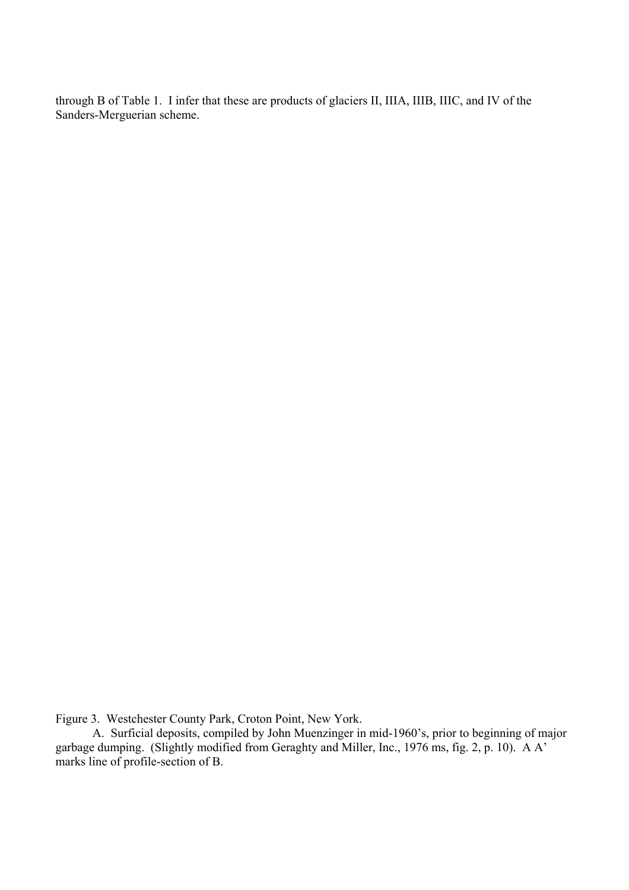through B of Table 1. I infer that these are products of glaciers II, IIIA, IIIB, IIIC, and IV of the Sanders-Merguerian scheme.

Figure 3. Westchester County Park, Croton Point, New York.

A. Surficial deposits, compiled by John Muenzinger in mid-1960's, prior to beginning of major garbage dumping. (Slightly modified from Geraghty and Miller, Inc., 1976 ms, fig. 2, p. 10). A A' marks line of profile-section of B.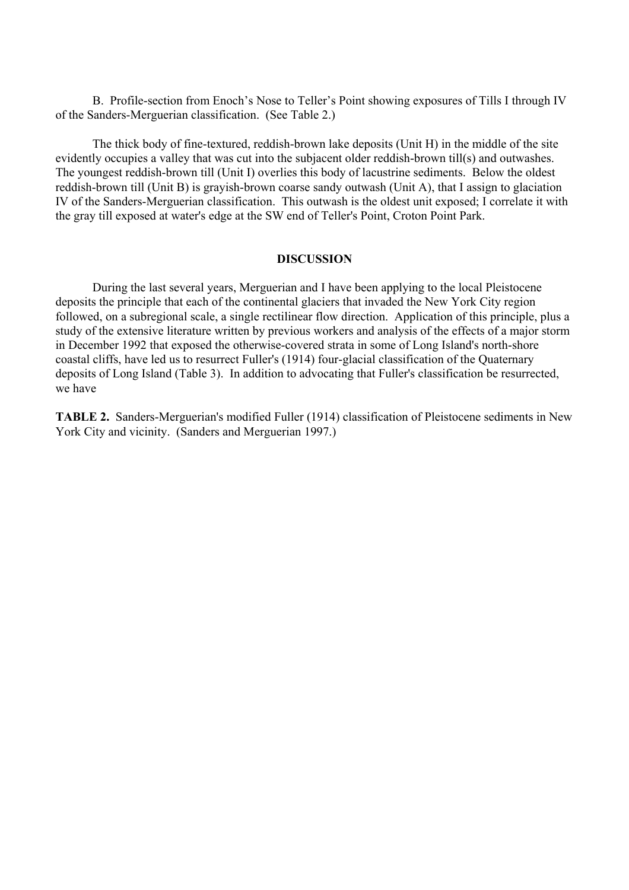B. Profile-section from Enoch's Nose to Teller's Point showing exposures of Tills I through IV of the Sanders-Merguerian classification. (See Table 2.)

 The thick body of fine-textured, reddish-brown lake deposits (Unit H) in the middle of the site evidently occupies a valley that was cut into the subjacent older reddish-brown till(s) and outwashes. The youngest reddish-brown till (Unit I) overlies this body of lacustrine sediments. Below the oldest reddish-brown till (Unit B) is grayish-brown coarse sandy outwash (Unit A), that I assign to glaciation IV of the Sanders-Merguerian classification. This outwash is the oldest unit exposed; I correlate it with the gray till exposed at water's edge at the SW end of Teller's Point, Croton Point Park.

#### **DISCUSSION**

 During the last several years, Merguerian and I have been applying to the local Pleistocene deposits the principle that each of the continental glaciers that invaded the New York City region followed, on a subregional scale, a single rectilinear flow direction. Application of this principle, plus a study of the extensive literature written by previous workers and analysis of the effects of a major storm in December 1992 that exposed the otherwise-covered strata in some of Long Island's north-shore coastal cliffs, have led us to resurrect Fuller's (1914) four-glacial classification of the Quaternary deposits of Long Island (Table 3). In addition to advocating that Fuller's classification be resurrected, we have

**TABLE 2.** Sanders-Merguerian's modified Fuller (1914) classification of Pleistocene sediments in New York City and vicinity. (Sanders and Merguerian 1997.)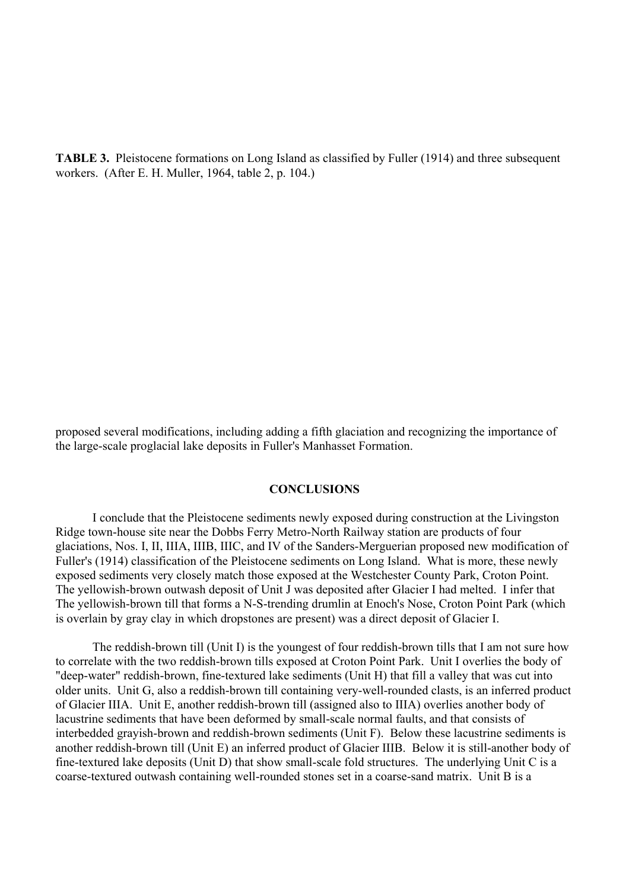**TABLE 3.** Pleistocene formations on Long Island as classified by Fuller (1914) and three subsequent workers. (After E. H. Muller, 1964, table 2, p. 104.)

proposed several modifications, including adding a fifth glaciation and recognizing the importance of the large-scale proglacial lake deposits in Fuller's Manhasset Formation.

#### **CONCLUSIONS**

 I conclude that the Pleistocene sediments newly exposed during construction at the Livingston Ridge town-house site near the Dobbs Ferry Metro-North Railway station are products of four glaciations, Nos. I, II, IIIA, IIIB, IIIC, and IV of the Sanders-Merguerian proposed new modification of Fuller's (1914) classification of the Pleistocene sediments on Long Island. What is more, these newly exposed sediments very closely match those exposed at the Westchester County Park, Croton Point. The yellowish-brown outwash deposit of Unit J was deposited after Glacier I had melted. I infer that The yellowish-brown till that forms a N-S-trending drumlin at Enoch's Nose, Croton Point Park (which is overlain by gray clay in which dropstones are present) was a direct deposit of Glacier I.

 The reddish-brown till (Unit I) is the youngest of four reddish-brown tills that I am not sure how to correlate with the two reddish-brown tills exposed at Croton Point Park. Unit I overlies the body of "deep-water" reddish-brown, fine-textured lake sediments (Unit H) that fill a valley that was cut into older units. Unit G, also a reddish-brown till containing very-well-rounded clasts, is an inferred product of Glacier IIIA. Unit E, another reddish-brown till (assigned also to IIIA) overlies another body of lacustrine sediments that have been deformed by small-scale normal faults, and that consists of interbedded grayish-brown and reddish-brown sediments (Unit F). Below these lacustrine sediments is another reddish-brown till (Unit E) an inferred product of Glacier IIIB. Below it is still-another body of fine-textured lake deposits (Unit D) that show small-scale fold structures. The underlying Unit C is a coarse-textured outwash containing well-rounded stones set in a coarse-sand matrix. Unit B is a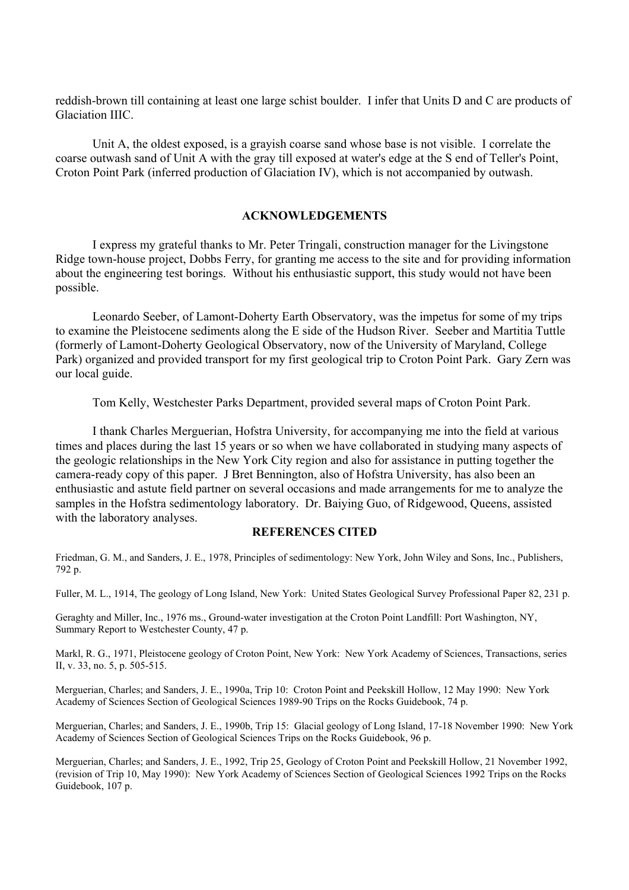reddish-brown till containing at least one large schist boulder. I infer that Units D and C are products of Glaciation IIIC.

 Unit A, the oldest exposed, is a grayish coarse sand whose base is not visible. I correlate the coarse outwash sand of Unit A with the gray till exposed at water's edge at the S end of Teller's Point, Croton Point Park (inferred production of Glaciation IV), which is not accompanied by outwash.

### **ACKNOWLEDGEMENTS**

 I express my grateful thanks to Mr. Peter Tringali, construction manager for the Livingstone Ridge town-house project, Dobbs Ferry, for granting me access to the site and for providing information about the engineering test borings. Without his enthusiastic support, this study would not have been possible.

 Leonardo Seeber, of Lamont-Doherty Earth Observatory, was the impetus for some of my trips to examine the Pleistocene sediments along the E side of the Hudson River. Seeber and Martitia Tuttle (formerly of Lamont-Doherty Geological Observatory, now of the University of Maryland, College Park) organized and provided transport for my first geological trip to Croton Point Park. Gary Zern was our local guide.

Tom Kelly, Westchester Parks Department, provided several maps of Croton Point Park.

 I thank Charles Merguerian, Hofstra University, for accompanying me into the field at various times and places during the last 15 years or so when we have collaborated in studying many aspects of the geologic relationships in the New York City region and also for assistance in putting together the camera-ready copy of this paper. J Bret Bennington, also of Hofstra University, has also been an enthusiastic and astute field partner on several occasions and made arrangements for me to analyze the samples in the Hofstra sedimentology laboratory. Dr. Baiying Guo, of Ridgewood, Queens, assisted with the laboratory analyses.

#### **REFERENCES CITED**

Friedman, G. M., and Sanders, J. E., 1978, Principles of sedimentology: New York, John Wiley and Sons, Inc., Publishers, 792 p.

Fuller, M. L., 1914, The geology of Long Island, New York: United States Geological Survey Professional Paper 82, 231 p.

Geraghty and Miller, Inc., 1976 ms., Ground-water investigation at the Croton Point Landfill: Port Washington, NY, Summary Report to Westchester County, 47 p.

Markl, R. G., 1971, Pleistocene geology of Croton Point, New York: New York Academy of Sciences, Transactions, series II, v. 33, no. 5, p. 505-515.

Merguerian, Charles; and Sanders, J. E., 1990a, Trip 10: Croton Point and Peekskill Hollow, 12 May 1990: New York Academy of Sciences Section of Geological Sciences 1989-90 Trips on the Rocks Guidebook, 74 p.

Merguerian, Charles; and Sanders, J. E., 1990b, Trip 15: Glacial geology of Long Island, 17-18 November 1990: New York Academy of Sciences Section of Geological Sciences Trips on the Rocks Guidebook, 96 p.

Merguerian, Charles; and Sanders, J. E., 1992, Trip 25, Geology of Croton Point and Peekskill Hollow, 21 November 1992, (revision of Trip 10, May 1990): New York Academy of Sciences Section of Geological Sciences 1992 Trips on the Rocks Guidebook, 107 p.